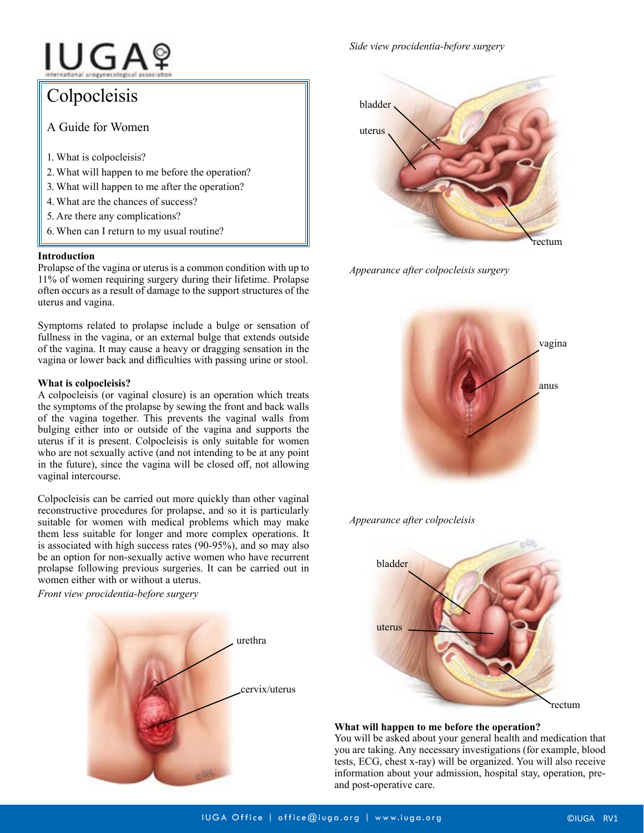# IUGAº

Colpocleisis A Guide for Women 1. What is colpocleisis? 2.What will happen to me before the operation? 3. What will happen to me after the operation? 4. What are the chances of success? 5. Are there any complications? 6.When can I return to my usual routine?

### **Introduction**

Prolapse of the vagina or uterus is a common condition with up to 11% of women requiring surgery during their lifetime. Prolapse often occurs as a result of damage to the support structures of the uterus and vagina.

Symptoms related to prolapse include a bulge or sensation of fullness in the vagina, or an external bulge that extends outside of the vagina. It may cause a heavy or dragging sensation in the vagina or lower back and difficulties with passing urine or stool.

## **What is colpocleisis?**

A colpocleisis (or vaginal closure) is an operation which treats the symptoms of the prolapse by sewing the front and back walls of the vagina together. This prevents the vaginal walls from bulging either into or outside of the vagina and supports the uterus if it is present. Colpocleisis is only suitable for women who are not sexually active (and not intending to be at any point in the future), since the vagina will be closed off, not allowing vaginal intercourse.

Colpocleisis can be carried out more quickly than other vaginal reconstructive procedures for prolapse, and so it is particularly suitable for women with medical problems which may make them less suitable for longer and more complex operations. It is associated with high success rates (90-95%), and so may also be an option for non-sexually active women who have recurrent prolapse following previous surgeries. It can be carried out in women either with or without a uterus.

*Front view procidentia-before surgery*



*Side view procidentia-before surgery*



*Appearance after colpocleisis surgery*



## *Appearance after colpocleisis*



## **What will happen to me before the operation?**

You will be asked about your general health and medication that you are taking. Any necessary investigations (for example, blood tests, ECG, chest x-ray) will be organized. You will also receive information about your admission, hospital stay, operation, preand post-operative care.